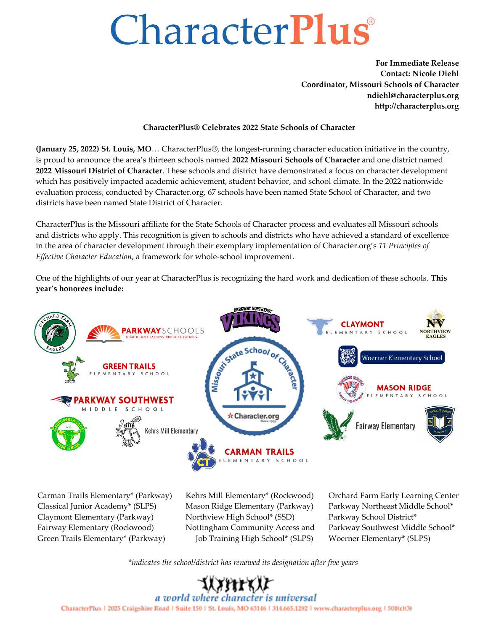## CharacterPlus

**For Immediate Release Contact: Nicole Diehl Coordinator, Missouri Schools of Character [ndiehl@characterplus.org](mailto:ndiehl@characterplus.org) [http://characterplus.org](http://characterplus.org/)**

## **CharacterPlus® Celebrates 2022 State Schools of Character**

**(January 25, 2022) St. Louis, MO**… CharacterPlus®, the longest-running character education initiative in the country, is proud to announce the area's thirteen schools named **2022 Missouri Schools of Character** and one district named **2022 Missouri District of Character**. These schools and district have demonstrated a focus on character development which has positively impacted academic achievement, student behavior, and school climate. In the 2022 nationwide evaluation process, conducted by Character.org, 67 schools have been named State School of Character, and two districts have been named State District of Character.

CharacterPlus is the Missouri affiliate for the State Schools of Character process and evaluates all Missouri schools and districts who apply. This recognition is given to schools and districts who have achieved a standard of excellence in the area of character development through their exemplary implementation of Character.org's *11 Principles of Effective Character Education*, a framework for whole-school improvement.

One of the highlights of our year at CharacterPlus is recognizing the hard work and dedication of these schools. **This year's honorees include:**



Carman Trails Elementary\* (Parkway) Classical Junior Academy\* (SLPS) Claymont Elementary (Parkway) Fairway Elementary (Rockwood) Green Trails Elementary\* (Parkway)

Kehrs Mill Elementary\* (Rockwood) Mason Ridge Elementary (Parkway) Northview High School\* (SSD) Nottingham Community Access and Job Training High School\* (SLPS)

Orchard Farm Early Learning Center Parkway Northeast Middle School\* Parkway School District\* Parkway Southwest Middle School\* Woerner Elementary\* (SLPS)

*\*indicates the school/district has renewed its designation after five years*